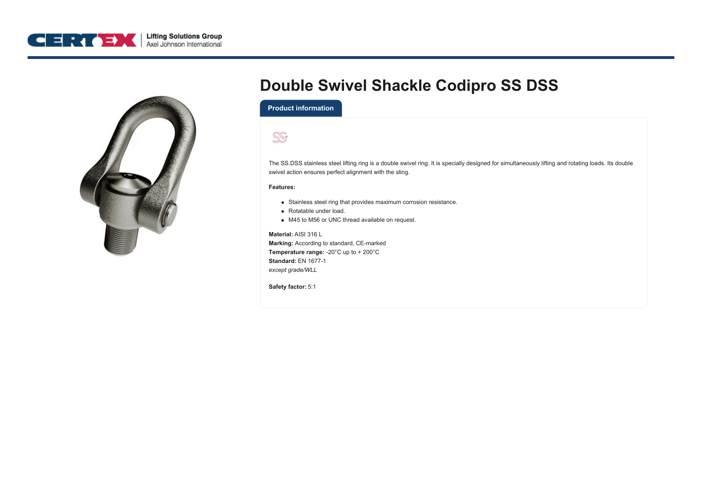



## **Double Swivel Shackle Codipro SS DSS**

**Product information**



The SS.DSS stainless steel lifting ring is a double swivel ring. It is specially designed for simultaneously lifting and rotating loads. Its double swivel action ensures perfect alignment with the sling.

## **Features:**

- Stainless steel ring that provides maximum corrosion resistance.
- Rotatable under load.
- M45 to M56 or UNC thread available on request.

**Material:** AISI 316 L **Marking:** According to standard, CE-marked **Temperature range:** -20°C up to + 200°C **Standard:** EN 1677-1 *except grade/WLL*

**Safety factor:** 5:1